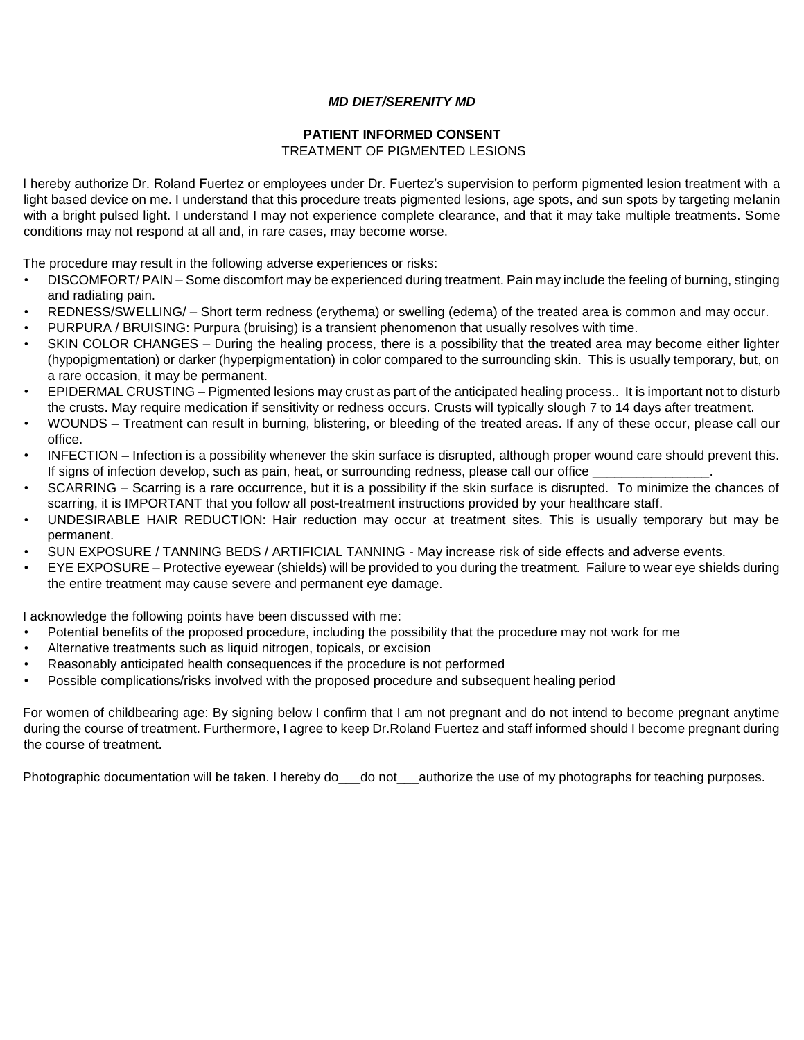### *MD DIET/SERENITY MD*

# **PATIENT INFORMED CONSENT**

## TREATMENT OF PIGMENTED LESIONS

I hereby authorize Dr. Roland Fuertez or employees under Dr. Fuertez's supervision to perform pigmented lesion treatment with a light based device on me. I understand that this procedure treats pigmented lesions, age spots, and sun spots by targeting melanin with a bright pulsed light. I understand I may not experience complete clearance, and that it may take multiple treatments. Some conditions may not respond at all and, in rare cases, may become worse.

The procedure may result in the following adverse experiences or risks:

- DISCOMFORT/ PAIN Some discomfort may be experienced during treatment. Pain may include the feeling of burning, stinging and radiating pain.
- REDNESS/SWELLING/ Short term redness (erythema) or swelling (edema) of the treated area is common and may occur.
- PURPURA / BRUISING: Purpura (bruising) is a transient phenomenon that usually resolves with time.
- SKIN COLOR CHANGES During the healing process, there is a possibility that the treated area may become either lighter (hypopigmentation) or darker (hyperpigmentation) in color compared to the surrounding skin. This is usually temporary, but, on a rare occasion, it may be permanent.
- EPIDERMAL CRUSTING Pigmented lesions may crust as part of the anticipated healing process.. It is important not to disturb the crusts. May require medication if sensitivity or redness occurs. Crusts will typically slough 7 to 14 days after treatment.
- WOUNDS Treatment can result in burning, blistering, or bleeding of the treated areas. If any of these occur, please call our office.
- INFECTION Infection is a possibility whenever the skin surface is disrupted, although proper wound care should prevent this. If signs of infection develop, such as pain, heat, or surrounding redness, please call our office
- SCARRING Scarring is a rare occurrence, but it is a possibility if the skin surface is disrupted. To minimize the chances of scarring, it is IMPORTANT that you follow all post-treatment instructions provided by your healthcare staff.
- UNDESIRABLE HAIR REDUCTION: Hair reduction may occur at treatment sites. This is usually temporary but may be permanent.
- SUN EXPOSURE / TANNING BEDS / ARTIFICIAL TANNING May increase risk of side effects and adverse events.
- EYE EXPOSURE Protective eyewear (shields) will be provided to you during the treatment. Failure to wear eye shields during the entire treatment may cause severe and permanent eye damage.

I acknowledge the following points have been discussed with me:

- Potential benefits of the proposed procedure, including the possibility that the procedure may not work for me
- Alternative treatments such as liquid nitrogen, topicals, or excision
- Reasonably anticipated health consequences if the procedure is not performed
- Possible complications/risks involved with the proposed procedure and subsequent healing period

For women of childbearing age: By signing below I confirm that I am not pregnant and do not intend to become pregnant anytime during the course of treatment. Furthermore, I agree to keep Dr.Roland Fuertez and staff informed should I become pregnant during the course of treatment.

Photographic documentation will be taken. I hereby do\_\_do not\_\_authorize the use of my photographs for teaching purposes.